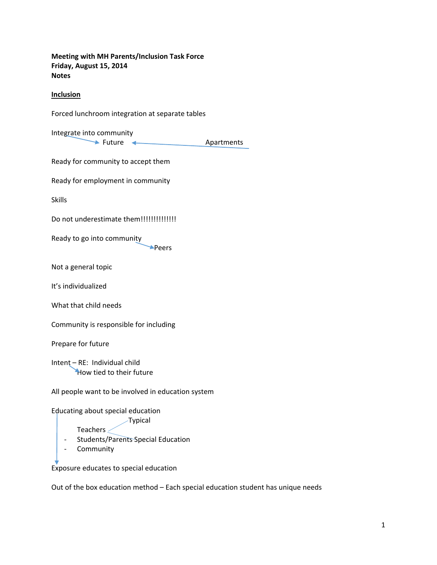**Meeting with MH Parents/Inclusion Task Force Friday, August 15, 2014 Notes** 

### **Inclusion**

Forced lunchroom integration at separate tables

Integrate into community

→ Future ← Apartments

Ready for community to accept them

Ready for employment in community

Skills

Do not underestimate them!!!!!!!!!!!!!!!!

Ready to go into community

Peers

Not a general topic

It's individualized

What that child needs

Community is responsible for including

Prepare for future

Intent – RE: Individual child How tied to their future

All people want to be involved in education system

Educating about special education

 Typical Teachers

‐ Students/Parents Special Education

‐ Community

Exposure educates to special education

Out of the box education method – Each special education student has unique needs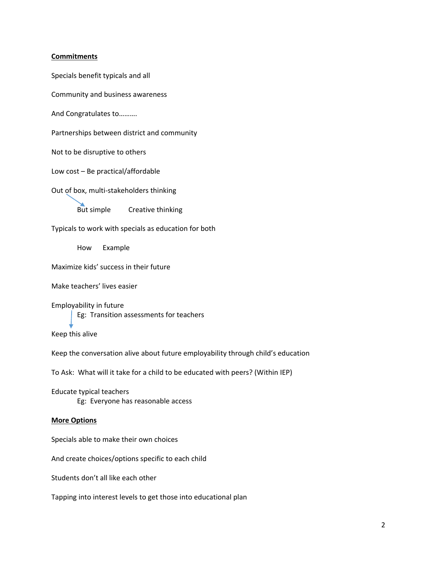#### **Commitments**

Specials benefit typicals and all

Community and business awareness

And Congratulates to……….

Partnerships between district and community

Not to be disruptive to others

Low cost – Be practical/affordable

Out of box, multi‐stakeholders thinking

the contract of the contract of the But simple Creative thinking

Typicals to work with specials as education for both

How Example

Maximize kids' success in their future

Make teachers' lives easier

Employability in future Eg: Transition assessments for teachers

Keep this alive

Keep the conversation alive about future employability through child's education

To Ask: What will it take for a child to be educated with peers? (Within IEP)

Educate typical teachers Eg: Everyone has reasonable access

#### **More Options**

Specials able to make their own choices

And create choices/options specific to each child

Students don't all like each other

Tapping into interest levels to get those into educational plan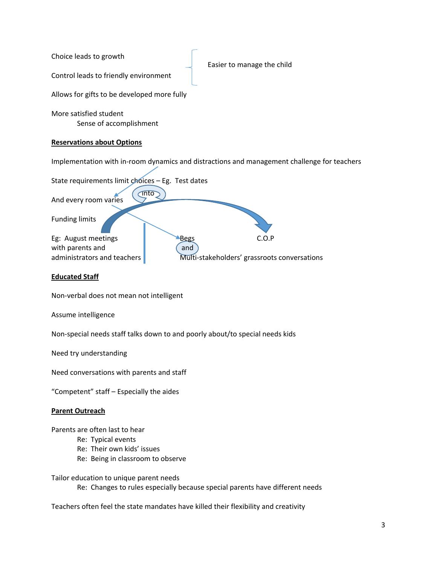Choice leads to growth Control leads to friendly environment Allows for gifts to be developed more fully Easier to manage the child

More satisfied student Sense of accomplishment

## **Reservations about Options**

Implementation with in‐room dynamics and distractions and management challenge for teachers



# **Educated Staff**

Non‐verbal does not mean not intelligent

Assume intelligence

Non‐special needs staff talks down to and poorly about/to special needs kids

Need try understanding

Need conversations with parents and staff

"Competent" staff – Especially the aides

## **Parent Outreach**

Parents are often last to hear

- Re: Typical events
- Re: Their own kids' issues
- Re: Being in classroom to observe

Tailor education to unique parent needs

Re: Changes to rules especially because special parents have different needs

Teachers often feel the state mandates have killed their flexibility and creativity